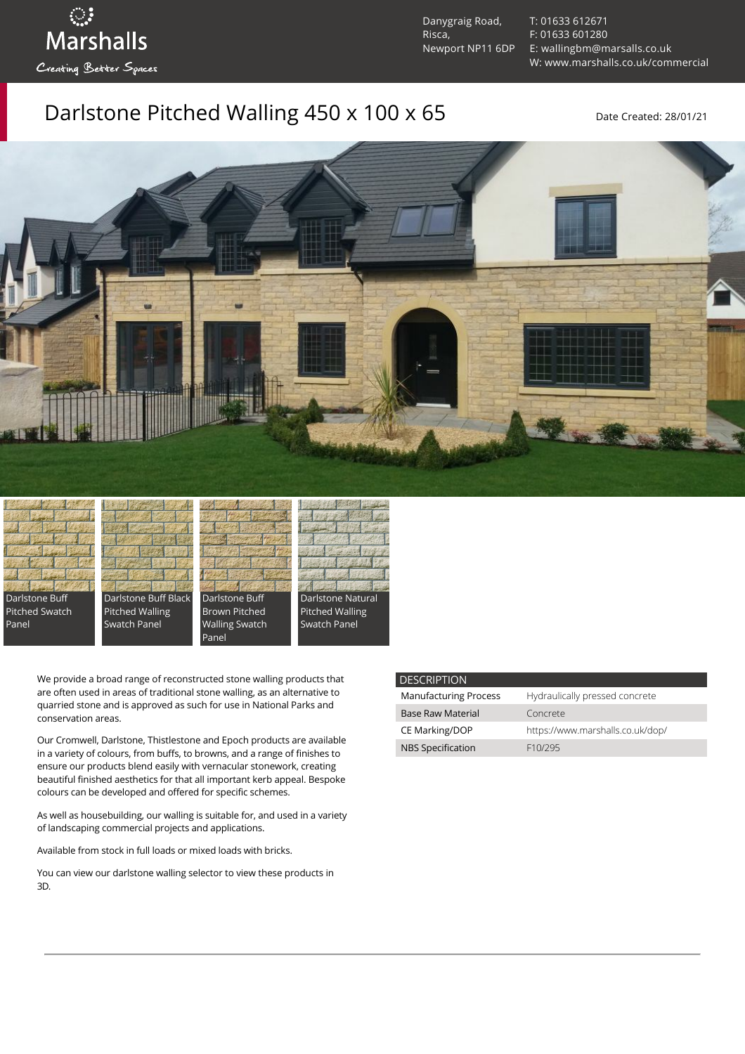ुः<br>Marshalls Creating Better Spaces

Danygraig Road, Risca, Newport NP11 6DP [T: 01633 612671](tel:01633%20612671) [F: 01633 601280](tel:01633%20601280) [E: wallingbm@marsalls.co.uk](mailto:wallingbm@marsalls.co.uk) [W: www.marshalls.co.uk/commercial](https://www.marshalls.co.uk/commercial)

## Darlstone Pitched Walling 450 x 100 x 65 Date Created: 28/01/21















We provide a broad range of reconstructed stone walling products that are often used in areas of traditional stone walling, as an alternative to quarried stone and is approved as such for use in National Parks and conservation areas.

Our [Cromwell](https://www.marshalls.co.uk/commercial/product/cromwell-stone-walling), Darlstone, [Thistlestone](https://www.marshalls.co.uk/commercial/product/thistlestone-stone-walling) and Epoch products are available in a variety of colours, from buffs, to browns, and a range of finishes to ensure our products blend easily with vernacular stonework, creating beautiful finished aesthetics for that all important kerb appeal. Bespoke colours can be developed and offered for specific schemes.

As well as housebuilding, our walling is suitable for, and used in a variety of landscaping commercial projects and applications.

Available from stock in full loads or mixed loads with bricks.

You can view our [darlstone walling selector](https://www.paverpicker.com/paverpicker/?u=edenhall&cat=walling&subcat=darlstone_walling) to view these products in 3D.

#### **DESCRIPTION**

| <b>Manufacturing Process</b> | Hydraulically pressed concrete   |
|------------------------------|----------------------------------|
| <b>Base Raw Material</b>     | Concrete                         |
| CE Marking/DOP               | https://www.marshalls.co.uk/dop/ |
| <b>NBS Specification</b>     | F <sub>10</sub> /295             |